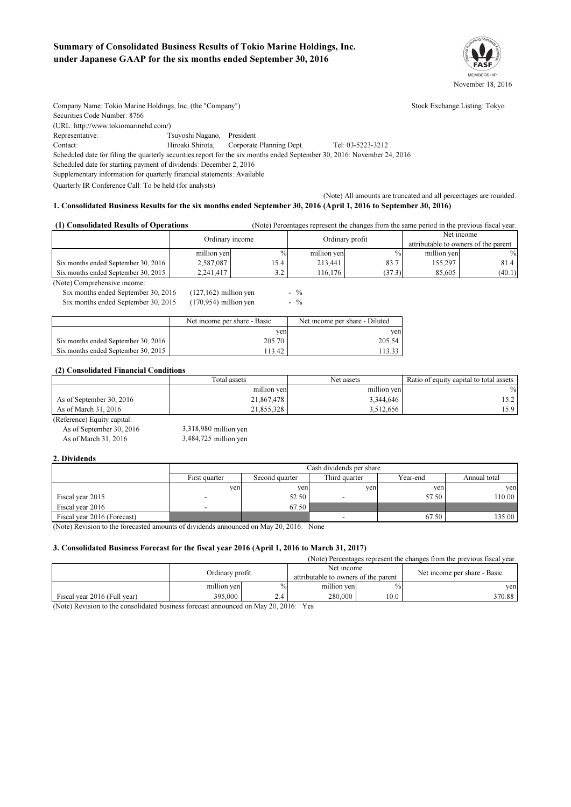### Summary of Consolidated Business Results of Tokio Marine Holdings, Inc. under Japanese GAAP for the six months ended September 30, 2016



Company Name: Tokio Marine Holdings, Inc. (the "Company") Stock Exchange Listing: Tokyo Securities Code Number: 8766 (URL: http://www.tokiomarinehd.com/) Representative: Tsuyoshi Nagano, President Contact: Hiroaki Shirota, Corporate Planning Dept. Tel: 03-5223-3212 Scheduled date for filing the quarterly securities report for the six months ended September 30, 2016: November 24, 2016

Scheduled date for starting payment of dividends: December 2, 2016 Supplementary information for quarterly financial statements: Available

Quarterly IR Conference Call: To be held (for analysts)

(Note) All amounts are truncated and all percentages are rounded.

#### 1. Consolidated Business Results for the six months ended September 30, 2016 (April 1, 2016 to September 30, 2016)

| (1) Consolidated Results of Operations<br>(Note) Percentages represent the changes from the same period in the previous fiscal year. |                 |               |                 |               |                                      |        |
|--------------------------------------------------------------------------------------------------------------------------------------|-----------------|---------------|-----------------|---------------|--------------------------------------|--------|
|                                                                                                                                      | Ordinary income |               |                 | Net income    |                                      |        |
|                                                                                                                                      |                 |               | Ordinary profit |               | attributable to owners of the parent |        |
|                                                                                                                                      | million yen     | $\frac{0}{0}$ | million yen     | $\frac{0}{0}$ | million ven                          | $\%$   |
| Six months ended September 30, 2016                                                                                                  | 2,587,087       | 15.4          | 213.441         | 83.7          | 155.297                              | 81.4   |
| Six months ended September 30, 2015                                                                                                  | 2,241,417       | 3.2           | 116.176         | (37.3)        | 85.605                               | (40.1) |

 $-$  % -

(Note) Comprehensive income:

Six months ended September 30, 2016 Six months ended September 30, 2015 (170,954) million yen  $\sim$  % (127,162) million yen (170,954)

|                                     | Net income per share - Basic | Net income per share - Diluted |
|-------------------------------------|------------------------------|--------------------------------|
|                                     | ven                          | ven                            |
| Six months ended September 30, 2016 | 205.70                       | 205.54                         |
| Six months ended September 30, 2015 | 113.42                       | 11333                          |

#### (2) Consolidated Financial Conditions

|                          | Total assets | Net assets  | Ratio of equity capital to total assets |
|--------------------------|--------------|-------------|-----------------------------------------|
|                          | million yen  | million ven | $\%$                                    |
| As of September 30, 2016 | 21,867,478   | 3,344,646   |                                         |
| As of March 31, 2016     | 21.855.328   | 3,512,656   | 15.9                                    |

(Reference) Equity capital: As of September 30, 2016 As of March 31, 2016 3,484,725 million yen

3,318,980

#### 2. Dividends

|                             | Cash dividends per share                                                     |       |     |       |        |  |  |  |
|-----------------------------|------------------------------------------------------------------------------|-------|-----|-------|--------|--|--|--|
|                             | Third quarter<br>First quarter<br>Year-end<br>Annual total<br>Second quarter |       |     |       |        |  |  |  |
|                             | ven                                                                          | ven   | yen | ven   | ven    |  |  |  |
| Fiscal year 2015            |                                                                              | 52.50 |     | 57.50 | 10.00  |  |  |  |
| Fiscal year 2016            | -                                                                            | 67.50 |     |       |        |  |  |  |
| Fiscal year 2016 (Forecast) |                                                                              |       |     | 67.50 | 135.00 |  |  |  |

(Note) Revision to the forecasted amounts of dividends announced on May 20, 2016: None

#### 3. Consolidated Business Forecast for the fiscal year 2016 (April 1, 2016 to March 31, 2017)

(Note) Percentages represent the changes from the previous fiscal year.

|                              | Ordinary profit |               | Net income<br>attributable to owners of the parent |      | Net income per share - Basic |        |
|------------------------------|-----------------|---------------|----------------------------------------------------|------|------------------------------|--------|
|                              | million yen     | $\frac{0}{0}$ | million yen                                        | $\%$ |                              | ven    |
| Fiscal vear 2016 (Full vear) | 395,000         | 2.4           | 280,000                                            | 10.0 |                              | 370.88 |

(Note) Revision to the consolidated business forecast announced on May 20, 2016: Yes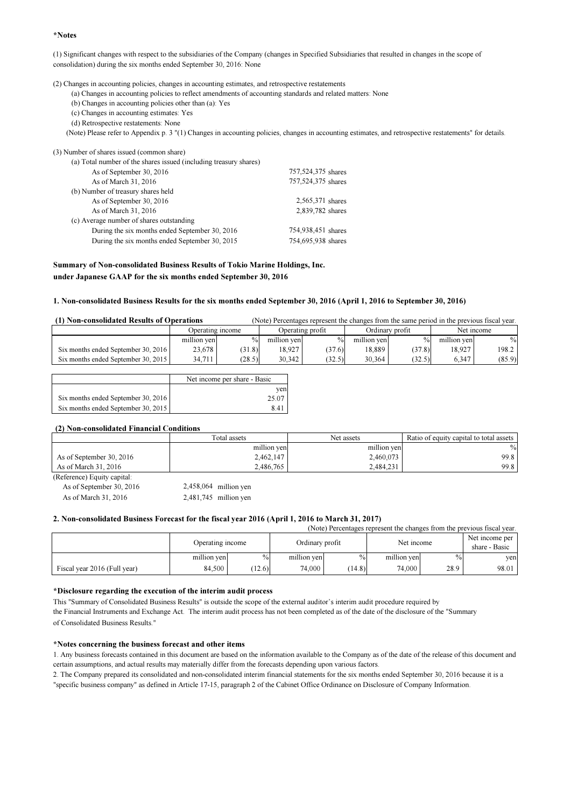#### \*Notes

(1) Significant changes with respect to the subsidiaries of the Company (changes in Specified Subsidiaries that resulted in changes in the scope of consolidation) during the six months ended September 30, 2016: None

(2) Changes in accounting policies, changes in accounting estimates, and retrospective restatements

- (a) Changes in accounting policies to reflect amendments of accounting standards and related matters: None
- (b) Changes in accounting policies other than (a): Yes
- (c) Changes in accounting estimates: Yes
- (d) Retrospective restatements: None
- (Note) Please refer to Appendix p. 3 "(1) Changes in accounting policies, changes in accounting estimates, and retrospective restatements" for details.

#### (3) Number of shares issued (common share) (a) Total number of the shares issued (including treasury shares) As of September 30, 2016 As of March 31, 2016 (b) Number of treasury shares held As of September 30, 2016 As of March 31, 2016 (c) Average number of shares outstanding During the six months ended September 30, 2016 During the six months ended September 30, 2015 754,938,451 2,565,371 2,839,782 shares 757,524,375 757,524,375 754,695,938

#### Summary of Non-consolidated Business Results of Tokio Marine Holdings, Inc. under Japanese GAAP for the six months ended September 30, 2016

#### 1. Non-consolidated Business Results for the six months ended September 30, 2016 (April 1, 2016 to September 30, 2016)

 (Note) Percentages represent the changes from the same period in the previous fiscal year. (1) Non-consolidated Results of Operations

|                                     | Operating income |               |             | Operating profit |             | Ordinary profit |             | Net income |
|-------------------------------------|------------------|---------------|-------------|------------------|-------------|-----------------|-------------|------------|
|                                     | million yen      | $\frac{0}{0}$ | million yen | $\frac{0}{0}$    | million ven | $\%$            | million ven | $\%$       |
| Six months ended September 30, 2016 | 23,678           | (31.8)        | 8.927       | (37.6)           | 18.889      | (37.8)          | 18.927      | 198.2      |
| Six months ended September 30, 2015 | 34.711           | (28.5)        | 30.342      | (32.5)           | 30.364      | (32.5)          | 6.347       | (85.9)     |

|                                     | Net income per share - Basic |
|-------------------------------------|------------------------------|
|                                     | ven                          |
| Six months ended September 30, 2016 | 25.07                        |
| Six months ended September 30, 2015 | 841                          |

#### (2) Non-consolidated Financial Conditions

|                             | Total assets | Net assets  | Ratio of equity capital to total assets |
|-----------------------------|--------------|-------------|-----------------------------------------|
|                             | million yen  | million yen | $\frac{0}{0}$                           |
| As of September 30, 2016    | 2,462,147    | 2,460,073   | 99.8                                    |
| As of March 31, 2016        | 2,486,765    | 2.484.231   | 99.8                                    |
| (Reference) Equity capital: |              |             |                                         |

As of September 30, 2016

As of March 31, 2016 2,481,745 million yen 2,458,064 million yen

#### 2. Non-consolidated Business Forecast for the fiscal year 2016 (April 1, 2016 to March 31, 2017)

| (Note) Percentages represent the changes from the previous fiscal year. |                  |       |                 |        |             |      |                                 |
|-------------------------------------------------------------------------|------------------|-------|-----------------|--------|-------------|------|---------------------------------|
|                                                                         | Operating income |       | Ordinary profit |        | Net income  |      | Net income per<br>share - Basic |
|                                                                         | million yen      | $\%$  | million ven     | $\%$   | million ven | $\%$ | ven                             |
| Fiscal year 2016 (Full year)                                            | 84.500           | 12.6) | 74,000          | (14.8) | 74,000      | 28.9 | 98.01                           |

#### \*Disclosure regarding the execution of the interim audit process

This "Summary of Consolidated Business Results" is outside the scope of the external auditor's interim audit procedure required by the Financial Instruments and Exchange Act. The interim audit process has not been completed as of the date of the disclosure of the "Summary of Consolidated Business Results."

#### \*Notes concerning the business forecast and other items

1. Any business forecasts contained in this document are based on the information available to the Company as of the date of the release of this document and certain assumptions, and actual results may materially differ from the forecasts depending upon various factors.

2. The Company prepared its consolidated and non-consolidated interim financial statements for the six months ended September 30, 2016 because it is a "specific business company" as defined in Article 17-15, paragraph 2 of the Cabinet Office Ordinance on Disclosure of Company Information.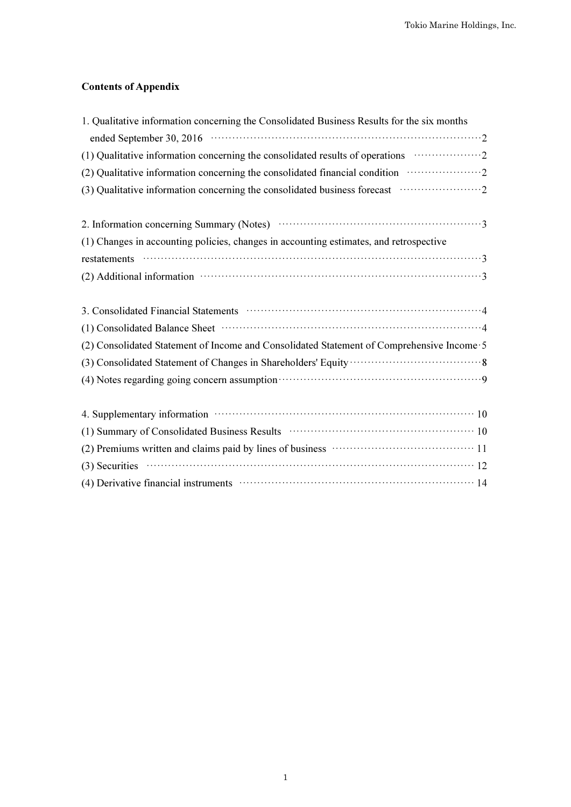## Contents of Appendix

| 1. Qualitative information concerning the Consolidated Business Results for the six months                                                                                                                                                                                                                                                         |
|----------------------------------------------------------------------------------------------------------------------------------------------------------------------------------------------------------------------------------------------------------------------------------------------------------------------------------------------------|
|                                                                                                                                                                                                                                                                                                                                                    |
|                                                                                                                                                                                                                                                                                                                                                    |
| (2) Qualitative information concerning the consolidated financial condition <i>manufacture</i> 2                                                                                                                                                                                                                                                   |
| (3) Qualitative information concerning the consolidated business forecast manufacture.                                                                                                                                                                                                                                                             |
| 2. Information concerning Summary (Notes) manufactured contains a state of 3                                                                                                                                                                                                                                                                       |
| (1) Changes in accounting policies, changes in accounting estimates, and retrospective                                                                                                                                                                                                                                                             |
| $restatenents$ $\cdots$ $\cdots$ $\cdots$ $\cdots$ $\cdots$ $\cdots$ $\cdots$ $\cdots$ $\cdots$ $\cdots$ $\cdots$ $\cdots$ $\cdots$ $\cdots$ $\cdots$ $\cdots$ $\cdots$ $\cdots$ $\cdots$ $\cdots$ $\cdots$ $\cdots$ $\cdots$ $\cdots$ $\cdots$ $\cdots$ $\cdots$ $\cdots$ $\cdots$ $\cdots$ $\cdots$ $\cdots$ $\cdots$ $\cdots$ $\cdots$ $\cdots$ |
|                                                                                                                                                                                                                                                                                                                                                    |
|                                                                                                                                                                                                                                                                                                                                                    |
|                                                                                                                                                                                                                                                                                                                                                    |
| (2) Consolidated Statement of Income and Consolidated Statement of Comprehensive Income 5                                                                                                                                                                                                                                                          |
|                                                                                                                                                                                                                                                                                                                                                    |
| (4) Notes regarding going concern assumption material contract of the system of the system of the system of the system of the system of the system of the system of the system of the system of the system of the system of th                                                                                                                     |
| 4. Supplementary information material contracts and the state of 10                                                                                                                                                                                                                                                                                |
| (1) Summary of Consolidated Business Results (2001) (2006) (2006) (2006) (2006) (2006) (2006) (2006) (2006) (2006) (2006) (2006) (2006) (2006) (2006) (2006) (2006) (2006) (2006) (2006) (2006) (2006) (2006) (2006) (2006) (2                                                                                                                     |
|                                                                                                                                                                                                                                                                                                                                                    |
| $(3)$ Securities $\cdots$ 12                                                                                                                                                                                                                                                                                                                       |
| (4) Derivative financial instruments (2) and the contract of the property of the property of the property of the property of the property of the property of the property of the property of the property of the property of t                                                                                                                     |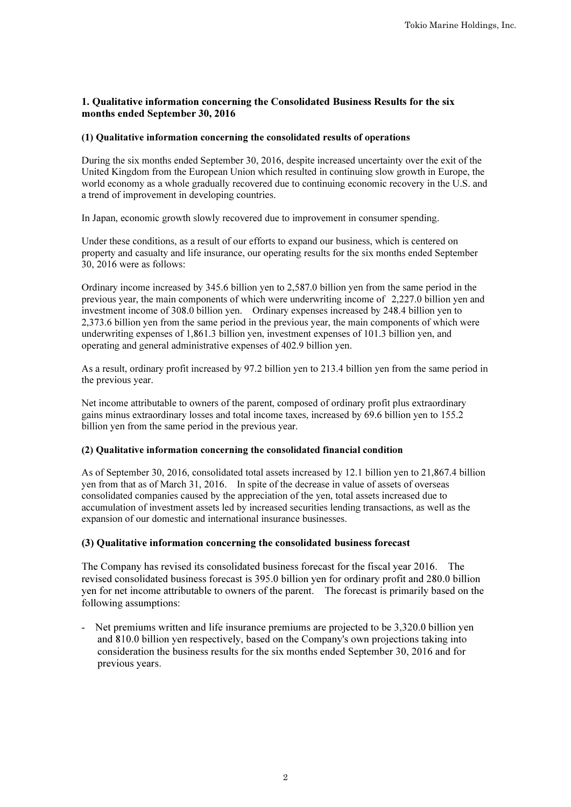### 1. Qualitative information concerning the Consolidated Business Results for the six months ended September 30, 2016

### (1) Qualitative information concerning the consolidated results of operations

During the six months ended September 30, 2016, despite increased uncertainty over the exit of the United Kingdom from the European Union which resulted in continuing slow growth in Europe, the world economy as a whole gradually recovered due to continuing economic recovery in the U.S. and a trend of improvement in developing countries.

In Japan, economic growth slowly recovered due to improvement in consumer spending.

Under these conditions, as a result of our efforts to expand our business, which is centered on property and casualty and life insurance, our operating results for the six months ended September 30, 2016 were as follows:

Ordinary income increased by 345.6 billion yen to 2,587.0 billion yen from the same period in the previous year, the main components of which were underwriting income of 2,227.0 billion yen and investment income of 308.0 billion yen. Ordinary expenses increased by 248.4 billion yen to 2,373.6 billion yen from the same period in the previous year, the main components of which were underwriting expenses of 1,861.3 billion yen, investment expenses of 101.3 billion yen, and operating and general administrative expenses of 402.9 billion yen.

As a result, ordinary profit increased by 97.2 billion yen to 213.4 billion yen from the same period in the previous year.

Net income attributable to owners of the parent, composed of ordinary profit plus extraordinary gains minus extraordinary losses and total income taxes, increased by 69.6 billion yen to 155.2 billion yen from the same period in the previous year.

### (2) Qualitative information concerning the consolidated financial condition

As of September 30, 2016, consolidated total assets increased by 12.1 billion yen to 21,867.4 billion yen from that as of March 31, 2016. In spite of the decrease in value of assets of overseas consolidated companies caused by the appreciation of the yen, total assets increased due to accumulation of investment assets led by increased securities lending transactions, as well as the expansion of our domestic and international insurance businesses.

### (3) Qualitative information concerning the consolidated business forecast

The Company has revised its consolidated business forecast for the fiscal year 2016. The revised consolidated business forecast is 395.0 billion yen for ordinary profit and 280.0 billion yen for net income attributable to owners of the parent. The forecast is primarily based on the following assumptions:

- Net premiums written and life insurance premiums are projected to be 3,320.0 billion yen and 810.0 billion yen respectively, based on the Company's own projections taking into consideration the business results for the six months ended September 30, 2016 and for previous years.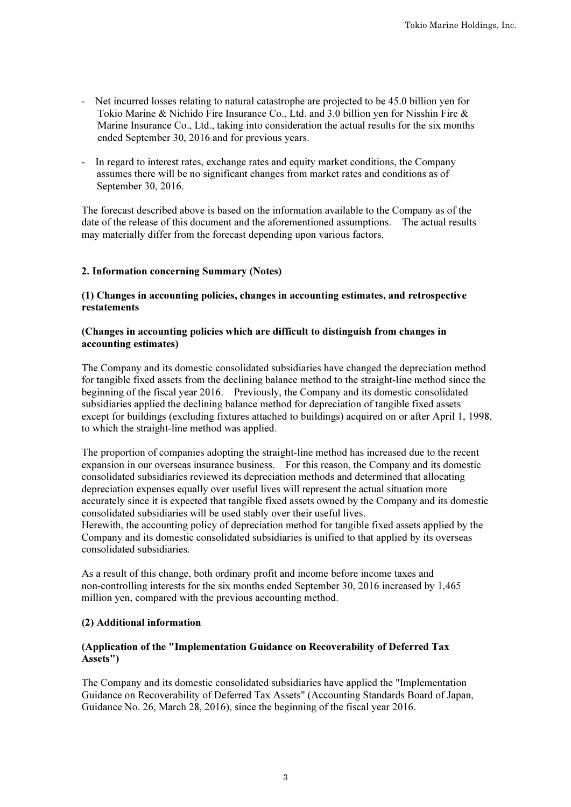- Net incurred losses relating to natural catastrophe are projected to be 45.0 billion yen for Tokio Marine & Nichido Fire Insurance Co., Ltd. and 3.0 billion yen for Nisshin Fire & Marine Insurance Co., Ltd., taking into consideration the actual results for the six months ended September 30, 2016 and for previous years.
- In regard to interest rates, exchange rates and equity market conditions, the Company assumes there will be no significant changes from market rates and conditions as of September 30, 2016.

The forecast described above is based on the information available to the Company as of the date of the release of this document and the aforementioned assumptions. The actual results may materially differ from the forecast depending upon various factors.

### 2. Information concerning Summary (Notes)

### (1) Changes in accounting policies, changes in accounting estimates, and retrospective restatements

### (Changes in accounting policies which are difficult to distinguish from changes in accounting estimates)

The Company and its domestic consolidated subsidiaries have changed the depreciation method for tangible fixed assets from the declining balance method to the straight-line method since the beginning of the fiscal year 2016. Previously, the Company and its domestic consolidated subsidiaries applied the declining balance method for depreciation of tangible fixed assets except for buildings (excluding fixtures attached to buildings) acquired on or after April 1, 1998, to which the straight-line method was applied.

The proportion of companies adopting the straight-line method has increased due to the recent expansion in our overseas insurance business. For this reason, the Company and its domestic consolidated subsidiaries reviewed its depreciation methods and determined that allocating depreciation expenses equally over useful lives will represent the actual situation more accurately since it is expected that tangible fixed assets owned by the Company and its domestic consolidated subsidiaries will be used stably over their useful lives.

Herewith, the accounting policy of depreciation method for tangible fixed assets applied by the Company and its domestic consolidated subsidiaries is unified to that applied by its overseas consolidated subsidiaries.

As a result of this change, both ordinary profit and income before income taxes and non-controlling interests for the six months ended September 30, 2016 increased by 1,465 million yen, compared with the previous accounting method.

### (2) Additional information

### (Application of the "Implementation Guidance on Recoverability of Deferred Tax Assets")

The Company and its domestic consolidated subsidiaries have applied the "Implementation Guidance on Recoverability of Deferred Tax Assets" (Accounting Standards Board of Japan, Guidance No. 26, March 28, 2016), since the beginning of the fiscal year 2016.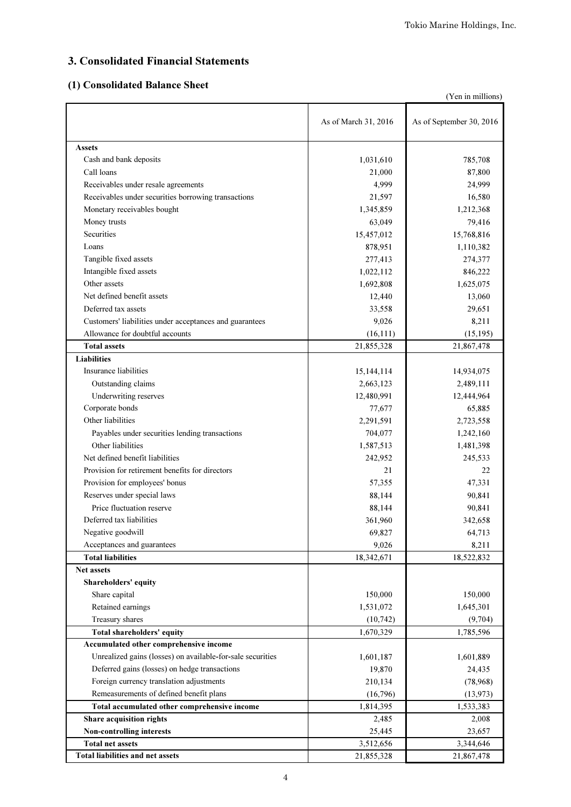# 3. Consolidated Financial Statements

## (1) Consolidated Balance Sheet

|                                                            |                      | (Yen in millions)        |
|------------------------------------------------------------|----------------------|--------------------------|
|                                                            | As of March 31, 2016 | As of September 30, 2016 |
| <b>Assets</b>                                              |                      |                          |
| Cash and bank deposits                                     | 1,031,610            | 785,708                  |
| Call loans                                                 | 21,000               | 87,800                   |
| Receivables under resale agreements                        | 4,999                | 24,999                   |
| Receivables under securities borrowing transactions        | 21,597               | 16,580                   |
| Monetary receivables bought                                | 1,345,859            | 1,212,368                |
| Money trusts                                               | 63,049               | 79,416                   |
| Securities                                                 | 15,457,012           | 15,768,816               |
| Loans                                                      | 878,951              | 1,110,382                |
| Tangible fixed assets                                      | 277,413              | 274,377                  |
| Intangible fixed assets                                    | 1,022,112            | 846,222                  |
| Other assets                                               | 1,692,808            | 1,625,075                |
| Net defined benefit assets                                 | 12,440               | 13,060                   |
| Deferred tax assets                                        | 33,558               | 29,651                   |
| Customers' liabilities under acceptances and guarantees    | 9,026                | 8,211                    |
| Allowance for doubtful accounts                            | (16, 111)            | (15, 195)                |
| <b>Total assets</b>                                        | 21,855,328           | 21,867,478               |
| <b>Liabilities</b>                                         |                      |                          |
| Insurance liabilities                                      | 15,144,114           | 14,934,075               |
| Outstanding claims                                         | 2,663,123            | 2,489,111                |
| Underwriting reserves                                      | 12,480,991           | 12,444,964               |
| Corporate bonds                                            | 77,677               | 65,885                   |
| Other liabilities                                          | 2,291,591            | 2,723,558                |
| Payables under securities lending transactions             | 704,077              | 1,242,160                |
| Other liabilities                                          | 1,587,513            | 1,481,398                |
| Net defined benefit liabilities                            | 242,952              | 245,533                  |
| Provision for retirement benefits for directors            | 21                   | 22                       |
| Provision for employees' bonus                             | 57,355               | 47,331                   |
| Reserves under special laws                                | 88,144               | 90,841                   |
| Price fluctuation reserve                                  | 88,144               | 90,841                   |
| Deferred tax liabilities                                   | 361,960              | 342,658                  |
| Negative goodwill                                          | 69,827               | 64,713                   |
| Acceptances and guarantees                                 | 9,026                | 8,211                    |
| <b>Total liabilities</b>                                   | 18,342,671           | 18,522,832               |
| <b>Net assets</b>                                          |                      |                          |
| Shareholders' equity                                       |                      |                          |
| Share capital                                              | 150,000              | 150,000                  |
| Retained earnings                                          | 1,531,072            | 1,645,301                |
| Treasury shares                                            | (10, 742)            | (9,704)                  |
| Total shareholders' equity                                 | 1,670,329            | 1,785,596                |
| Accumulated other comprehensive income                     |                      |                          |
| Unrealized gains (losses) on available-for-sale securities | 1,601,187            | 1,601,889                |
| Deferred gains (losses) on hedge transactions              | 19,870               | 24,435                   |
| Foreign currency translation adjustments                   | 210,134              | (78,968)                 |
| Remeasurements of defined benefit plans                    | (16,796)             |                          |
| Total accumulated other comprehensive income               | 1,814,395            | (13, 973)<br>1,533,383   |
|                                                            |                      |                          |
| Share acquisition rights<br>Non-controlling interests      | 2,485                | 2,008                    |
| <b>Total net assets</b>                                    | 25,445               | 23,657                   |
| <b>Total liabilities and net assets</b>                    | 3,512,656            | 3,344,646                |
|                                                            | 21,855,328           | 21,867,478               |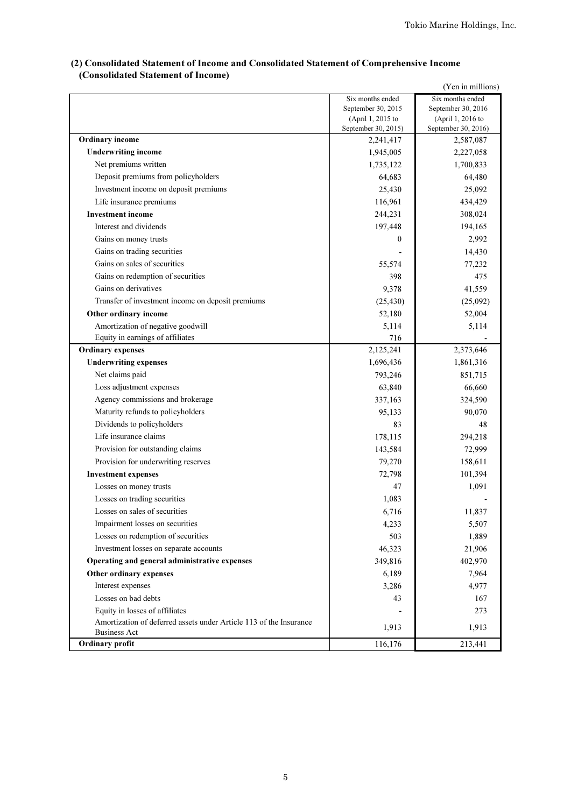## (2) Consolidated Statement of Income and Consolidated Statement of Comprehensive Income (Consolidated Statement of Income)

| (Yen in millions)                                                  |                                          |                                          |  |  |  |
|--------------------------------------------------------------------|------------------------------------------|------------------------------------------|--|--|--|
|                                                                    | Six months ended                         | Six months ended                         |  |  |  |
|                                                                    | September 30, 2015                       | September 30, 2016                       |  |  |  |
|                                                                    | (April 1, 2015 to<br>September 30, 2015) | (April 1, 2016 to<br>September 30, 2016) |  |  |  |
| <b>Ordinary income</b>                                             | 2,241,417                                | 2,587,087                                |  |  |  |
| <b>Underwriting income</b>                                         | 1,945,005                                | 2,227,058                                |  |  |  |
| Net premiums written                                               | 1,735,122                                | 1,700,833                                |  |  |  |
| Deposit premiums from policyholders                                | 64,683                                   | 64,480                                   |  |  |  |
| Investment income on deposit premiums                              | 25,430                                   | 25,092                                   |  |  |  |
| Life insurance premiums                                            | 116,961                                  | 434,429                                  |  |  |  |
| <b>Investment</b> income                                           | 244,231                                  | 308,024                                  |  |  |  |
| Interest and dividends                                             | 197,448                                  | 194,165                                  |  |  |  |
| Gains on money trusts                                              | 0                                        | 2,992                                    |  |  |  |
| Gains on trading securities                                        |                                          | 14,430                                   |  |  |  |
| Gains on sales of securities                                       | 55,574                                   | 77,232                                   |  |  |  |
| Gains on redemption of securities                                  | 398                                      | 475                                      |  |  |  |
| Gains on derivatives                                               | 9,378                                    | 41,559                                   |  |  |  |
| Transfer of investment income on deposit premiums                  | (25, 430)                                | (25,092)                                 |  |  |  |
| Other ordinary income                                              | 52,180                                   | 52,004                                   |  |  |  |
| Amortization of negative goodwill                                  | 5,114                                    | 5,114                                    |  |  |  |
| Equity in earnings of affiliates                                   | 716                                      |                                          |  |  |  |
| <b>Ordinary expenses</b>                                           | 2,125,241                                | 2,373,646                                |  |  |  |
| <b>Underwriting expenses</b>                                       | 1,696,436                                | 1,861,316                                |  |  |  |
| Net claims paid                                                    | 793,246                                  | 851,715                                  |  |  |  |
| Loss adjustment expenses                                           | 63,840                                   | 66,660                                   |  |  |  |
| Agency commissions and brokerage                                   | 337,163                                  | 324,590                                  |  |  |  |
| Maturity refunds to policyholders                                  | 95,133                                   | 90,070                                   |  |  |  |
| Dividends to policyholders                                         | 83                                       | 48                                       |  |  |  |
| Life insurance claims                                              | 178,115                                  | 294,218                                  |  |  |  |
| Provision for outstanding claims                                   | 143,584                                  | 72,999                                   |  |  |  |
| Provision for underwriting reserves                                | 79,270                                   | 158,611                                  |  |  |  |
| <b>Investment expenses</b>                                         | 72,798                                   | 101,394                                  |  |  |  |
| Losses on money trusts                                             | 47                                       | 1,091                                    |  |  |  |
| Losses on trading securities                                       | 1,083                                    |                                          |  |  |  |
| Losses on sales of securities                                      | 6,716                                    | 11,837                                   |  |  |  |
| Impairment losses on securities                                    | 4,233                                    | 5,507                                    |  |  |  |
| Losses on redemption of securities                                 | 503                                      | 1,889                                    |  |  |  |
| Investment losses on separate accounts                             | 46,323                                   | 21,906                                   |  |  |  |
| Operating and general administrative expenses                      | 349,816                                  | 402,970                                  |  |  |  |
| Other ordinary expenses                                            | 6,189                                    | 7,964                                    |  |  |  |
| Interest expenses                                                  | 3,286                                    | 4,977                                    |  |  |  |
| Losses on bad debts                                                | 43                                       | 167                                      |  |  |  |
| Equity in losses of affiliates                                     |                                          | 273                                      |  |  |  |
| Amortization of deferred assets under Article 113 of the Insurance | 1,913                                    | 1,913                                    |  |  |  |
| <b>Business Act</b>                                                |                                          |                                          |  |  |  |
| Ordinary profit                                                    | 116,176                                  | 213,441                                  |  |  |  |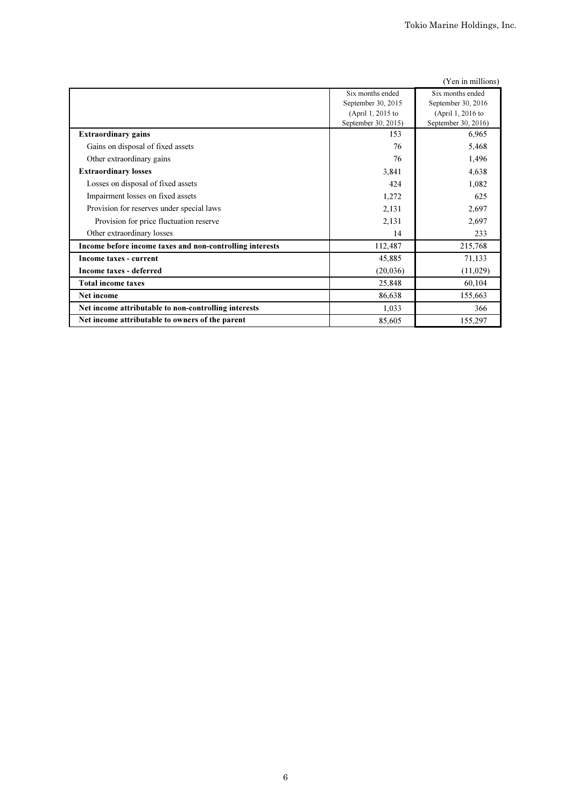|                                                          |                     | (Yen in millions)   |
|----------------------------------------------------------|---------------------|---------------------|
|                                                          | Six months ended    | Six months ended    |
|                                                          | September 30, 2015  | September 30, 2016  |
|                                                          | (April 1, 2015 to   | (April 1, 2016 to   |
|                                                          | September 30, 2015) | September 30, 2016) |
| <b>Extraordinary gains</b>                               | 153                 | 6,965               |
| Gains on disposal of fixed assets                        | 76                  | 5,468               |
| Other extraordinary gains                                | 76                  | 1,496               |
| <b>Extraordinary losses</b>                              | 3,841               | 4,638               |
| Losses on disposal of fixed assets                       | 424                 | 1,082               |
| Impairment losses on fixed assets                        | 1,272               | 625                 |
| Provision for reserves under special laws                | 2,131               | 2,697               |
| Provision for price fluctuation reserve                  | 2,131               | 2,697               |
| Other extraordinary losses                               | 14                  | 233                 |
| Income before income taxes and non-controlling interests | 112,487             | 215,768             |
| Income taxes - current                                   | 45,885              | 71,133              |
| Income taxes - deferred                                  | (20, 036)           | (11,029)            |
| <b>Total income taxes</b>                                | 25,848              | 60,104              |
| Net income                                               | 86,638              | 155,663             |
| Net income attributable to non-controlling interests     | 1,033               | 366                 |
| Net income attributable to owners of the parent          | 85,605              | 155,297             |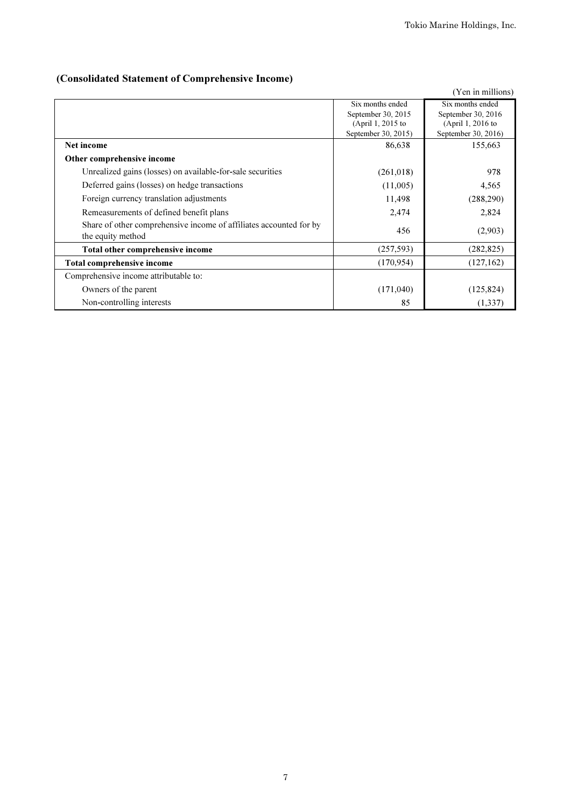## (Consolidated Statement of Comprehensive Income)

|                                                                    |                     | (Yen in millions)   |
|--------------------------------------------------------------------|---------------------|---------------------|
|                                                                    | Six months ended    | Six months ended    |
|                                                                    | September 30, 2015  | September 30, 2016  |
|                                                                    | (April 1, 2015 to   | (April 1, 2016 to   |
|                                                                    | September 30, 2015) | September 30, 2016) |
| Net income                                                         | 86,638              | 155,663             |
| Other comprehensive income                                         |                     |                     |
| Unrealized gains (losses) on available-for-sale securities         | (261, 018)          | 978                 |
| Deferred gains (losses) on hedge transactions                      | (11,005)            | 4,565               |
| Foreign currency translation adjustments                           | 11,498              | (288, 290)          |
| Remeasurements of defined benefit plans                            | 2,474               | 2,824               |
| Share of other comprehensive income of affiliates accounted for by | 456                 | (2,903)             |
| the equity method                                                  |                     |                     |
| Total other comprehensive income                                   | (257, 593)          | (282, 825)          |
| Total comprehensive income                                         | (170, 954)          | (127, 162)          |
| Comprehensive income attributable to:                              |                     |                     |
| Owners of the parent                                               | (171,040)           | (125, 824)          |
| Non-controlling interests                                          | 85                  | (1, 337)            |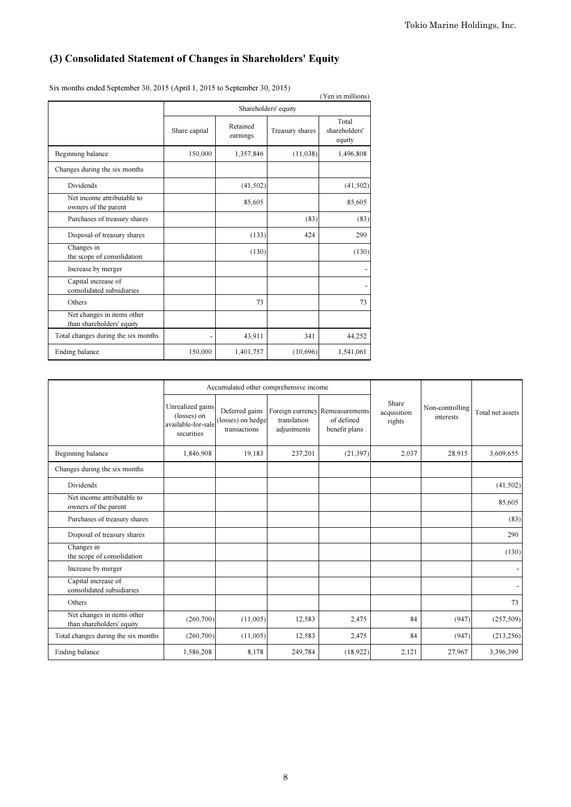## (3) Consolidated Statement of Changes in Shareholders' Equity

|                                                         |                          |                      |                 | (Yen in millions)                |  |  |  |
|---------------------------------------------------------|--------------------------|----------------------|-----------------|----------------------------------|--|--|--|
|                                                         | Shareholders' equity     |                      |                 |                                  |  |  |  |
|                                                         | Share capital            | Retained<br>earnings | Treasury shares | Total<br>shareholders'<br>equity |  |  |  |
| Beginning balance                                       | 150,000                  | 1,357,846            | (11,038)        | 1,496,808                        |  |  |  |
| Changes during the six months                           |                          |                      |                 |                                  |  |  |  |
| <b>Dividends</b>                                        |                          | (41, 502)            |                 | (41, 502)                        |  |  |  |
| Net income attributable to<br>owners of the parent      |                          | 85,605               |                 | 85,605                           |  |  |  |
| Purchases of treasury shares                            |                          |                      | (83)            | (83)                             |  |  |  |
| Disposal of treasury shares                             |                          | (133)                | 424             | 290                              |  |  |  |
| Changes in<br>the scope of consolidation                |                          | (130)                |                 | (130)                            |  |  |  |
| Increase by merger                                      |                          |                      |                 |                                  |  |  |  |
| Capital increase of<br>consolidated subsidiaries        |                          |                      |                 |                                  |  |  |  |
| Others                                                  |                          | 73                   |                 | 73                               |  |  |  |
| Net changes in items other<br>than shareholders' equity |                          |                      |                 |                                  |  |  |  |
| Total changes during the six months                     | $\overline{\phantom{a}}$ | 43,911               | 341             | 44,252                           |  |  |  |
| Ending balance                                          | 150,000                  | 1,401,757            | (10,696)        | 1,541,061                        |  |  |  |

Six months ended September 30, 2015 (April 1, 2015 to September 30, 2015)

|                                                         |                                                                     |                                                     | Accumulated other comprehensive income         |                                               |                                |                              |                  |
|---------------------------------------------------------|---------------------------------------------------------------------|-----------------------------------------------------|------------------------------------------------|-----------------------------------------------|--------------------------------|------------------------------|------------------|
|                                                         | Unrealized gains<br>(losses) on<br>available-for-sale<br>securities | Deferred gains<br>(losses) on hedge<br>transactions | Foreign currency<br>translation<br>adjustments | Remeasurements<br>of defined<br>benefit plans | Share<br>acquisition<br>rights | Non-controlling<br>interests | Total net assets |
| Beginning balance                                       | 1.846.908                                                           | 19,183                                              | 237,201                                        | (21, 397)                                     | 2,037                          | 28,915                       | 3,609,655        |
| Changes during the six months                           |                                                                     |                                                     |                                                |                                               |                                |                              |                  |
| Dividends                                               |                                                                     |                                                     |                                                |                                               |                                |                              | (41,502)         |
| Net income attributable to<br>owners of the parent      |                                                                     |                                                     |                                                |                                               |                                |                              | 85,605           |
| Purchases of treasury shares                            |                                                                     |                                                     |                                                |                                               |                                |                              | (83)             |
| Disposal of treasury shares                             |                                                                     |                                                     |                                                |                                               |                                |                              | 290              |
| Changes in<br>the scope of consolidation                |                                                                     |                                                     |                                                |                                               |                                |                              | (130)            |
| Increase by merger                                      |                                                                     |                                                     |                                                |                                               |                                |                              |                  |
| Capital increase of<br>consolidated subsidiaries        |                                                                     |                                                     |                                                |                                               |                                |                              |                  |
| Others                                                  |                                                                     |                                                     |                                                |                                               |                                |                              | 73               |
| Net changes in items other<br>than shareholders' equity | (260, 700)                                                          | (11,005)                                            | 12,583                                         | 2,475                                         | 84                             | (947)                        | (257,509)        |
| Total changes during the six months                     | (260, 700)                                                          | (11,005)                                            | 12,583                                         | 2,475                                         | 84                             | (947)                        | (213, 256)       |
| Ending balance                                          | 1,586,208                                                           | 8,178                                               | 249,784                                        | (18, 922)                                     | 2,121                          | 27,967                       | 3,396,399        |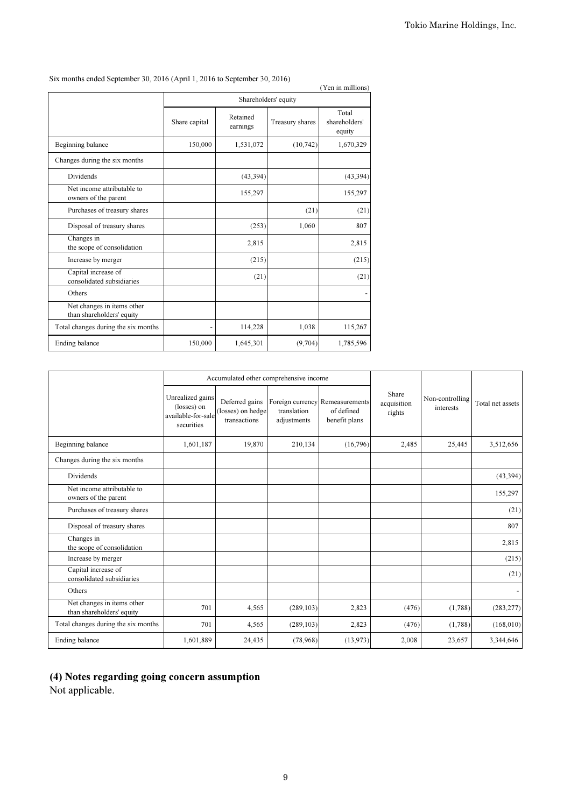|                                                         |                      |                      |                 | (Yen in millions)                |  |  |  |
|---------------------------------------------------------|----------------------|----------------------|-----------------|----------------------------------|--|--|--|
|                                                         | Shareholders' equity |                      |                 |                                  |  |  |  |
|                                                         | Share capital        | Retained<br>earnings | Treasury shares | Total<br>shareholders'<br>equity |  |  |  |
| Beginning balance                                       | 150,000              | 1,531,072            | (10, 742)       | 1,670,329                        |  |  |  |
| Changes during the six months                           |                      |                      |                 |                                  |  |  |  |
| Dividends                                               |                      | (43, 394)            |                 | (43, 394)                        |  |  |  |
| Net income attributable to<br>owners of the parent      |                      | 155,297              |                 | 155,297                          |  |  |  |
| Purchases of treasury shares                            |                      |                      | (21)            | (21)                             |  |  |  |
| Disposal of treasury shares                             |                      | (253)                | 1,060           | 807                              |  |  |  |
| Changes in<br>the scope of consolidation                |                      | 2,815                |                 | 2,815                            |  |  |  |
| Increase by merger                                      |                      | (215)                |                 | (215)                            |  |  |  |
| Capital increase of<br>consolidated subsidiaries        |                      | (21)                 |                 | (21)                             |  |  |  |
| Others                                                  |                      |                      |                 |                                  |  |  |  |
| Net changes in items other<br>than shareholders' equity |                      |                      |                 |                                  |  |  |  |
| Total changes during the six months                     |                      | 114,228              | 1,038           | 115,267                          |  |  |  |
| Ending balance                                          | 150,000              | 1,645,301            | (9,704)         | 1,785,596                        |  |  |  |

Six months ended September 30, 2016 (April 1, 2016 to September 30, 2016)

|                                                         |                                                                     |                                                     | Accumulated other comprehensive income |                                                                |                                |                              |                  |
|---------------------------------------------------------|---------------------------------------------------------------------|-----------------------------------------------------|----------------------------------------|----------------------------------------------------------------|--------------------------------|------------------------------|------------------|
|                                                         | Unrealized gains<br>(losses) on<br>available-for-sale<br>securities | Deferred gains<br>(losses) on hedge<br>transactions | translation<br>adjustments             | Foreign currency Remeasurements<br>of defined<br>benefit plans | Share<br>acquisition<br>rights | Non-controlling<br>interests | Total net assets |
| Beginning balance                                       | 1,601,187                                                           | 19,870                                              | 210,134                                | (16,796)                                                       | 2,485                          | 25,445                       | 3,512,656        |
| Changes during the six months                           |                                                                     |                                                     |                                        |                                                                |                                |                              |                  |
| Dividends                                               |                                                                     |                                                     |                                        |                                                                |                                |                              | (43, 394)        |
| Net income attributable to<br>owners of the parent      |                                                                     |                                                     |                                        |                                                                |                                |                              | 155,297          |
| Purchases of treasury shares                            |                                                                     |                                                     |                                        |                                                                |                                |                              | (21)             |
| Disposal of treasury shares                             |                                                                     |                                                     |                                        |                                                                |                                |                              | 807              |
| Changes in<br>the scope of consolidation                |                                                                     |                                                     |                                        |                                                                |                                |                              | 2,815            |
| Increase by merger                                      |                                                                     |                                                     |                                        |                                                                |                                |                              | (215)            |
| Capital increase of<br>consolidated subsidiaries        |                                                                     |                                                     |                                        |                                                                |                                |                              | (21)             |
| Others                                                  |                                                                     |                                                     |                                        |                                                                |                                |                              |                  |
| Net changes in items other<br>than shareholders' equity | 701                                                                 | 4,565                                               | (289, 103)                             | 2,823                                                          | (476)                          | (1,788)                      | (283, 277)       |
| Total changes during the six months                     | 701                                                                 | 4,565                                               | (289, 103)                             | 2,823                                                          | (476)                          | (1,788)                      | (168,010)        |
| Ending balance                                          | 1,601,889                                                           | 24,435                                              | (78,968)                               | (13, 973)                                                      | 2,008                          | 23,657                       | 3,344,646        |

## (4) Notes regarding going concern assumption

Not applicable.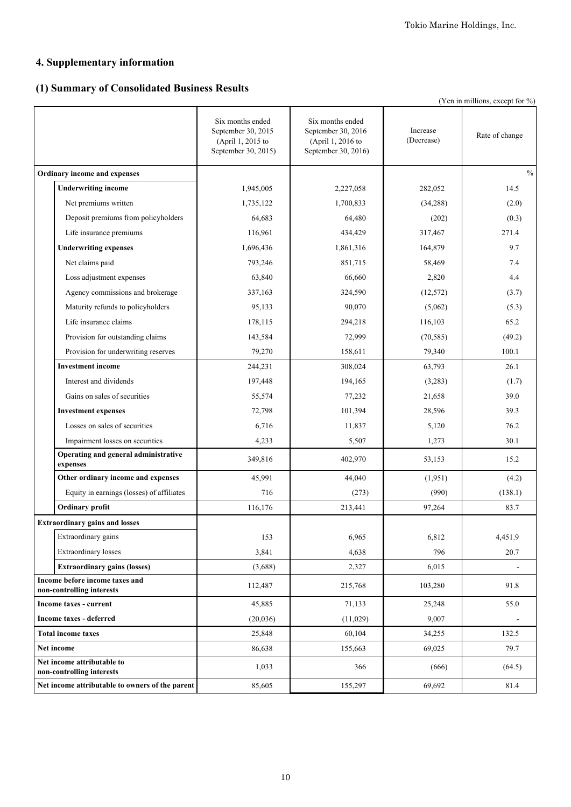## **4. Supplementary information**

## **(1) Summary of Consolidated Business Results**

|                                                             |                                                                                    |                                                                                    |                        | (Yen in millions, except for %) |
|-------------------------------------------------------------|------------------------------------------------------------------------------------|------------------------------------------------------------------------------------|------------------------|---------------------------------|
|                                                             | Six months ended<br>September 30, 2015<br>(April 1, 2015 to<br>September 30, 2015) | Six months ended<br>September 30, 2016<br>(April 1, 2016 to<br>September 30, 2016) | Increase<br>(Decrease) | Rate of change                  |
| Ordinary income and expenses                                |                                                                                    |                                                                                    |                        | $\frac{0}{0}$                   |
| <b>Underwriting income</b>                                  | 1,945,005                                                                          | 2,227,058                                                                          | 282,052                | 14.5                            |
| Net premiums written                                        | 1,735,122                                                                          | 1,700,833                                                                          | (34, 288)              | (2.0)                           |
| Deposit premiums from policyholders                         | 64,683                                                                             | 64,480                                                                             | (202)                  | (0.3)                           |
| Life insurance premiums                                     | 116,961                                                                            | 434,429                                                                            | 317,467                | 271.4                           |
| <b>Underwriting expenses</b>                                | 1,696,436                                                                          | 1,861,316                                                                          | 164,879                | 9.7                             |
| Net claims paid                                             | 793,246                                                                            | 851,715                                                                            | 58,469                 | 7.4                             |
| Loss adjustment expenses                                    | 63,840                                                                             | 66,660                                                                             | 2,820                  | 4.4                             |
| Agency commissions and brokerage                            | 337,163                                                                            | 324,590                                                                            | (12, 572)              | (3.7)                           |
| Maturity refunds to policyholders                           | 95,133                                                                             | 90,070                                                                             | (5,062)                | (5.3)                           |
| Life insurance claims                                       | 178,115                                                                            | 294,218                                                                            | 116,103                | 65.2                            |
| Provision for outstanding claims                            | 143,584                                                                            | 72,999                                                                             | (70, 585)              | (49.2)                          |
| Provision for underwriting reserves                         | 79,270                                                                             | 158,611                                                                            | 79,340                 | 100.1                           |
| <b>Investment</b> income                                    | 244,231                                                                            | 308,024                                                                            | 63,793                 | 26.1                            |
| Interest and dividends                                      | 197,448                                                                            | 194,165                                                                            | (3,283)                | (1.7)                           |
| Gains on sales of securities                                | 55,574                                                                             | 77,232                                                                             | 21,658                 | 39.0                            |
| <b>Investment expenses</b>                                  | 72,798                                                                             | 101,394                                                                            | 28,596                 | 39.3                            |
| Losses on sales of securities                               | 6,716                                                                              | 11,837                                                                             | 5,120                  | 76.2                            |
| Impairment losses on securities                             | 4,233                                                                              | 5,507                                                                              | 1,273                  | 30.1                            |
| Operating and general administrative<br>expenses            | 349,816                                                                            | 402,970                                                                            | 53,153                 | 15.2                            |
| Other ordinary income and expenses                          | 45,991                                                                             | 44,040                                                                             | (1,951)                | (4.2)                           |
| Equity in earnings (losses) of affiliates                   | 716                                                                                | (273)                                                                              | (990)                  | (138.1)                         |
| Ordinary profit                                             | 116,176                                                                            | 213,441                                                                            | 97,264                 | 83.7                            |
| <b>Extraordinary gains and losses</b>                       |                                                                                    |                                                                                    |                        |                                 |
| Extraordinary gains                                         | 153                                                                                | 6,965                                                                              | 6,812                  | 4,451.9                         |
| Extraordinary losses                                        | 3,841                                                                              | 4,638                                                                              | 796                    | 20.7                            |
| <b>Extraordinary gains (losses)</b>                         | (3,688)                                                                            | 2,327                                                                              | 6,015                  |                                 |
| Income before income taxes and<br>non-controlling interests | 112,487                                                                            | 215,768                                                                            | 103,280                | 91.8                            |
| Income taxes - current                                      | 45,885                                                                             | 71,133                                                                             | 25,248                 | 55.0                            |
| Income taxes - deferred                                     | (20, 036)                                                                          | (11,029)                                                                           | 9,007                  |                                 |
| <b>Total income taxes</b>                                   | 25,848                                                                             | 60,104                                                                             | 34,255                 | 132.5                           |
| Net income                                                  | 86,638                                                                             | 155,663                                                                            | 69,025                 | 79.7                            |
| Net income attributable to<br>non-controlling interests     | 1,033                                                                              | 366                                                                                | (666)                  | (64.5)                          |
| Net income attributable to owners of the parent             | 85,605                                                                             | 155,297                                                                            | 69,692                 | 81.4                            |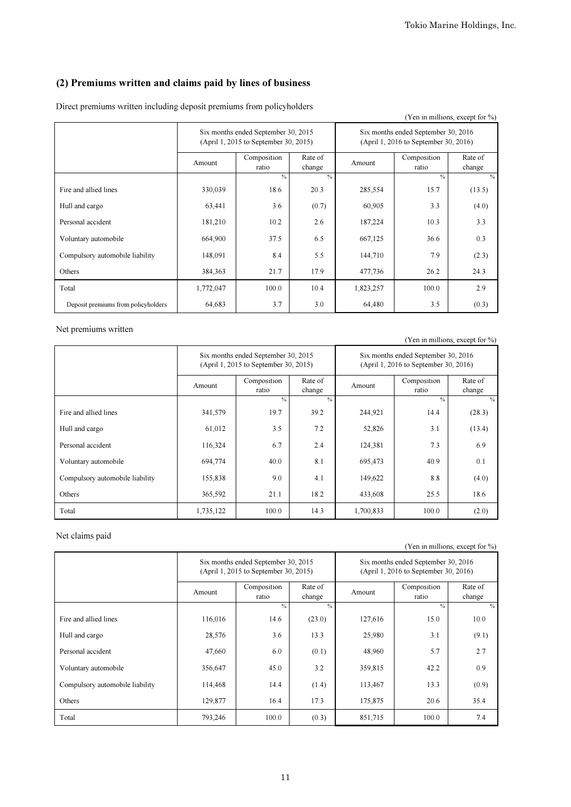## (2) Premiums written and claims paid by lines of business

| Direct premiums written including deposit premiums from policyholders |  |
|-----------------------------------------------------------------------|--|
|-----------------------------------------------------------------------|--|

|                                     |                                                                              |                      |                   |                                                                              |                      | (Yen in millions, except for %) |
|-------------------------------------|------------------------------------------------------------------------------|----------------------|-------------------|------------------------------------------------------------------------------|----------------------|---------------------------------|
|                                     | Six months ended September 30, 2015<br>(April 1, 2015 to September 30, 2015) |                      |                   | Six months ended September 30, 2016<br>(April 1, 2016 to September 30, 2016) |                      |                                 |
|                                     | Amount                                                                       | Composition<br>ratio | Rate of<br>change | Amount                                                                       | Composition<br>ratio | Rate of<br>change               |
|                                     |                                                                              | $\frac{0}{2}$        | $\frac{0}{0}$     |                                                                              | $\frac{0}{0}$        | $\%$                            |
| Fire and allied lines               | 330,039                                                                      | 18.6                 | 20.3              | 285,554                                                                      | 15.7                 | (13.5)                          |
| Hull and cargo                      | 63,441                                                                       | 3.6                  | (0.7)             | 60,905                                                                       | 3.3                  | (4.0)                           |
| Personal accident                   | 181,210                                                                      | 10.2                 | 2.6               | 187,224                                                                      | 10.3                 | 3.3                             |
| Voluntary automobile                | 664,900                                                                      | 37.5                 | 6.5               | 667,125                                                                      | 36.6                 | 0.3                             |
| Compulsory automobile liability     | 148,091                                                                      | 8.4                  | 5.5               | 144,710                                                                      | 7.9                  | (2.3)                           |
| Others                              | 384,363                                                                      | 21.7                 | 17.9              | 477,736                                                                      | 26.2                 | 24.3                            |
| Total                               | 1,772,047                                                                    | 100.0                | 10.4              | 1,823,257                                                                    | 100.0                | 2.9                             |
| Deposit premiums from policyholders | 64,683                                                                       | 3.7                  | 3.0               | 64,480                                                                       | 3.5                  | (0.3)                           |

### Net premiums written

(Yen in millions, except for %)

|                                 |           | Six months ended September 30, 2015<br>(April 1, 2015 to September 30, 2015) |                   | Six months ended September 30, 2016<br>(April 1, 2016 to September 30, 2016) |                      |                   |
|---------------------------------|-----------|------------------------------------------------------------------------------|-------------------|------------------------------------------------------------------------------|----------------------|-------------------|
|                                 | Amount    | Composition<br>ratio                                                         | Rate of<br>change | Amount                                                                       | Composition<br>ratio | Rate of<br>change |
|                                 |           | $\frac{0}{0}$                                                                | $\frac{0}{0}$     |                                                                              | $\frac{0}{0}$        | $\%$              |
| Fire and allied lines           | 341,579   | 19.7                                                                         | 39.2              | 244,921                                                                      | 14.4                 | (28.3)            |
| Hull and cargo                  | 61,012    | 3.5                                                                          | 7.2               | 52,826                                                                       | 3.1                  | (13.4)            |
| Personal accident               | 116,324   | 6.7                                                                          | 2.4               | 124,381                                                                      | 7.3                  | 6.9               |
| Voluntary automobile            | 694,774   | 40.0                                                                         | 8.1               | 695,473                                                                      | 40.9                 | 0.1               |
| Compulsory automobile liability | 155,838   | 9.0                                                                          | 4.1               | 149,622                                                                      | 8.8                  | (4.0)             |
| Others                          | 365,592   | 21.1                                                                         | 18.2              | 433,608                                                                      | 25.5                 | 18.6              |
| Total                           | 1,735,122 | 100.0                                                                        | 14.3              | 1,700,833                                                                    | 100.0                | (2.0)             |

### Net claims paid

### (Yen in millions, except for %)

|                                 | Six months ended September 30, 2015<br>(April 1, 2015 to September 30, 2015) |                      |                   | Six months ended September 30, 2016<br>(April 1, 2016 to September 30, 2016) |                      |                   |
|---------------------------------|------------------------------------------------------------------------------|----------------------|-------------------|------------------------------------------------------------------------------|----------------------|-------------------|
|                                 | Amount                                                                       | Composition<br>ratio | Rate of<br>change | Amount                                                                       | Composition<br>ratio | Rate of<br>change |
|                                 |                                                                              | $\frac{0}{2}$        | $\frac{0}{0}$     |                                                                              | $\frac{0}{0}$        | $\%$              |
| Fire and allied lines           | 116,016                                                                      | 14.6                 | (23.0)            | 127,616                                                                      | 15.0                 | 10.0              |
| Hull and cargo                  | 28,576                                                                       | 3.6                  | 13.3              | 25,980                                                                       | 3.1                  | (9.1)             |
| Personal accident               | 47,660                                                                       | 6.0                  | (0.1)             | 48,960                                                                       | 5.7                  | 2.7               |
| Voluntary automobile            | 356,647                                                                      | 45.0                 | 3.2               | 359,815                                                                      | 42.2                 | 0.9               |
| Compulsory automobile liability | 114,468                                                                      | 14.4                 | (1.4)             | 113,467                                                                      | 13.3                 | (0.9)             |
| Others                          | 129,877                                                                      | 16.4                 | 17.3              | 175,875                                                                      | 20.6                 | 35.4              |
| Total                           | 793,246                                                                      | 100.0                | (0.3)             | 851,715                                                                      | 100.0                | 7.4               |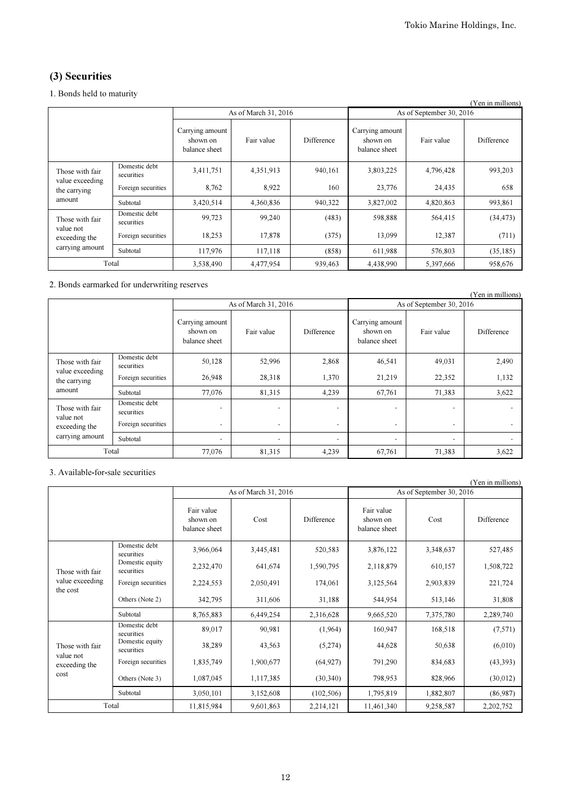## (3) Securities

### 1. Bonds held to maturity

| (Yen in millions)               |                             |                                              |                      |            |                                              |            |            |  |
|---------------------------------|-----------------------------|----------------------------------------------|----------------------|------------|----------------------------------------------|------------|------------|--|
|                                 |                             |                                              | As of March 31, 2016 |            | As of September 30, 2016                     |            |            |  |
|                                 |                             | Carrying amount<br>shown on<br>balance sheet | Fair value           | Difference | Carrying amount<br>shown on<br>balance sheet | Fair value | Difference |  |
| Those with fair                 | Domestic debt<br>securities | 3,411,751                                    | 4,351,913            | 940,161    | 3,803,225                                    | 4,796,428  | 993,203    |  |
| value exceeding<br>the carrying | Foreign securities          | 8,762                                        | 8,922                | 160        | 23,776                                       | 24,435     | 658        |  |
| amount                          | Subtotal                    | 3,420,514                                    | 4,360,836            | 940,322    | 3,827,002                                    | 4,820,863  | 993,861    |  |
| Those with fair                 | Domestic debt<br>securities | 99,723                                       | 99,240               | (483)      | 598,888                                      | 564,415    | (34, 473)  |  |
| value not<br>exceeding the      | Foreign securities          | 18,253                                       | 17,878               | (375)      | 13,099                                       | 12,387     | (711)      |  |
| carrying amount                 | Subtotal                    | 117,976                                      | 117,118              | (858)      | 611,988                                      | 576,803    | (35, 185)  |  |
| Total                           |                             | 3,538,490                                    | 4,477,954            | 939,463    | 4,438,990                                    | 5,397,666  | 958,676    |  |

2. Bonds earmarked for underwriting reserves

|                                                                  |                             |                                              |            |            |                                              |                          | (Yen in millions)        |  |
|------------------------------------------------------------------|-----------------------------|----------------------------------------------|------------|------------|----------------------------------------------|--------------------------|--------------------------|--|
|                                                                  |                             | As of March 31, 2016                         |            |            | As of September 30, 2016                     |                          |                          |  |
|                                                                  |                             | Carrying amount<br>shown on<br>balance sheet | Fair value | Difference | Carrying amount<br>shown on<br>balance sheet | Fair value               | Difference               |  |
| Those with fair<br>value exceeding<br>the carrying<br>amount     | Domestic debt<br>securities | 50,128                                       | 52,996     | 2,868      | 46,541                                       | 49,031                   | 2,490                    |  |
|                                                                  | Foreign securities          | 26,948                                       | 28,318     | 1,370      | 21,219                                       | 22,352                   | 1,132                    |  |
|                                                                  | Subtotal                    | 77,076                                       | 81,315     | 4,239      | 67,761                                       | 71,383                   | 3,622                    |  |
| Those with fair<br>value not<br>exceeding the<br>carrying amount | Domestic debt<br>securities |                                              | ٠          |            |                                              | $\overline{\phantom{a}}$ |                          |  |
|                                                                  | Foreign securities          | $\overline{\phantom{a}}$                     | ٠          | ٠          | ٠                                            | ٠                        | $\overline{\phantom{a}}$ |  |
|                                                                  | Subtotal                    | ٠                                            | ٠          |            | ٠                                            | ٠                        |                          |  |
| Total                                                            |                             | 77,076                                       | 81,315     | 4,239      | 67,761                                       | 71,383                   | 3,622                    |  |

## 3. Available-for-sale securities

|                              |                               |                                         |           |            |                                         |           | (Yen in millions) |
|------------------------------|-------------------------------|-----------------------------------------|-----------|------------|-----------------------------------------|-----------|-------------------|
|                              |                               | As of March 31, 2016                    |           |            | As of September 30, 2016                |           |                   |
|                              |                               | Fair value<br>shown on<br>balance sheet | Cost      | Difference | Fair value<br>shown on<br>balance sheet | Cost      | Difference        |
|                              | Domestic debt<br>securities   | 3,966,064                               | 3,445,481 | 520,583    | 3,876,122                               | 3,348,637 | 527,485           |
| Those with fair              | Domestic equity<br>securities | 2,232,470                               | 641,674   | 1,590,795  | 2,118,879                               | 610,157   | 1,508,722         |
| value exceeding<br>the cost  | Foreign securities            | 2,224,553                               | 2,050,491 | 174,061    | 3,125,564                               | 2,903,839 | 221,724           |
|                              | Others (Note 2)               | 342,795                                 | 311,606   | 31,188     | 544,954                                 | 513,146   | 31,808            |
|                              | Subtotal                      | 8,765,883                               | 6,449,254 | 2,316,628  | 9,665,520                               | 7,375,780 | 2,289,740         |
|                              | Domestic debt<br>securities   | 89,017                                  | 90,981    | (1,964)    | 160,947                                 | 168,518   | (7,571)           |
| Those with fair<br>value not | Domestic equity<br>securities | 38,289                                  | 43,563    | (5,274)    | 44,628                                  | 50,638    | (6,010)           |
| exceeding the                | Foreign securities            | 1,835,749                               | 1,900,677 | (64, 927)  | 791,290                                 | 834,683   | (43,393)          |
| cost                         | Others (Note 3)               | 1,087,045                               | 1,117,385 | (30, 340)  | 798,953                                 | 828,966   | (30,012)          |
|                              | Subtotal                      | 3,050,101                               | 3,152,608 | (102, 506) | 1,795,819                               | 1,882,807 | (86,987)          |
| Total                        |                               | 11,815,984                              | 9,601,863 | 2,214,121  | 11,461,340                              | 9,258,587 | 2,202,752         |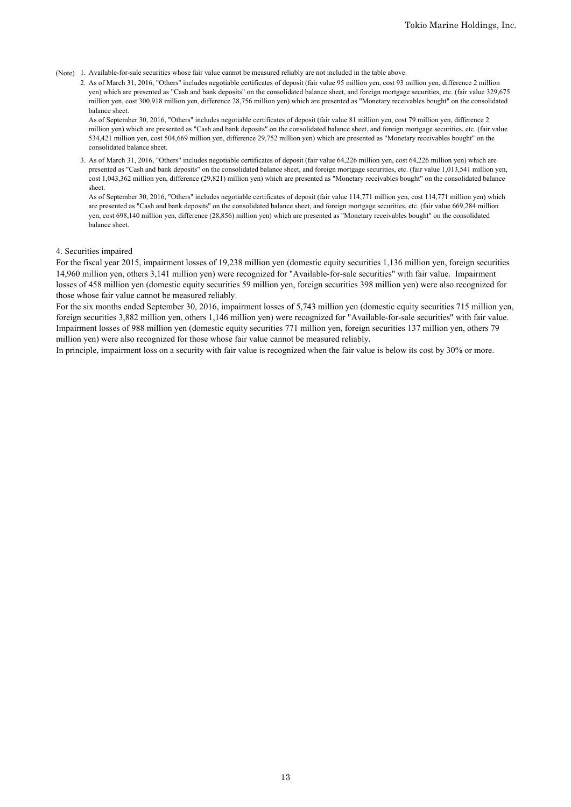(Note) 1. Available-for-sale securities whose fair value cannot be measured reliably are not included in the table above.

2. As of March 31, 2016, "Others" includes negotiable certificates of deposit (fair value 95 million yen, cost 93 million yen, difference 2 million yen) which are presented as "Cash and bank deposits" on the consolidated balance sheet, and foreign mortgage securities, etc. (fair value 329,675 million yen, cost 300,918 million yen, difference 28,756 million yen) which are presented as "Monetary receivables bought" on the consolidated balance sheet.

As of September 30, 2016, "Others" includes negotiable certificates of deposit (fair value 81 million yen, cost 79 million yen, difference 2 million yen) which are presented as "Cash and bank deposits" on the consolidated balance sheet, and foreign mortgage securities, etc. (fair value 534,421 million yen, cost 504,669 million yen, difference 29,752 million yen) which are presented as "Monetary receivables bought" on the consolidated balance sheet.

3. As of March 31, 2016, "Others" includes negotiable certificates of deposit (fair value 64,226 million yen, cost 64,226 million yen) which are presented as "Cash and bank deposits" on the consolidated balance sheet, and foreign mortgage securities, etc. (fair value 1,013,541 million yen, cost 1,043,362 million yen, difference (29,821) million yen) which are presented as "Monetary receivables bought" on the consolidated balance sheet.

As of September 30, 2016, "Others" includes negotiable certificates of deposit (fair value 114,771 million yen, cost 114,771 million yen) which are presented as "Cash and bank deposits" on the consolidated balance sheet, and foreign mortgage securities, etc. (fair value 669,284 million yen, cost 698,140 million yen, difference (28,856) million yen) which are presented as "Monetary receivables bought" on the consolidated balance sheet.

#### 4. Securities impaired

For the fiscal year 2015, impairment losses of 19,238 million yen (domestic equity securities 1,136 million yen, foreign securities 14,960 million yen, others 3,141 million yen) were recognized for "Available-for-sale securities" with fair value. Impairment losses of 458 million yen (domestic equity securities 59 million yen, foreign securities 398 million yen) were also recognized for those whose fair value cannot be measured reliably.

For the six months ended September 30, 2016, impairment losses of 5,743 million yen (domestic equity securities 715 million yen, foreign securities 3,882 million yen, others 1,146 million yen) were recognized for "Available-for-sale securities" with fair value. Impairment losses of 988 million yen (domestic equity securities 771 million yen, foreign securities 137 million yen, others 79 million yen) were also recognized for those whose fair value cannot be measured reliably.

In principle, impairment loss on a security with fair value is recognized when the fair value is below its cost by 30% or more.